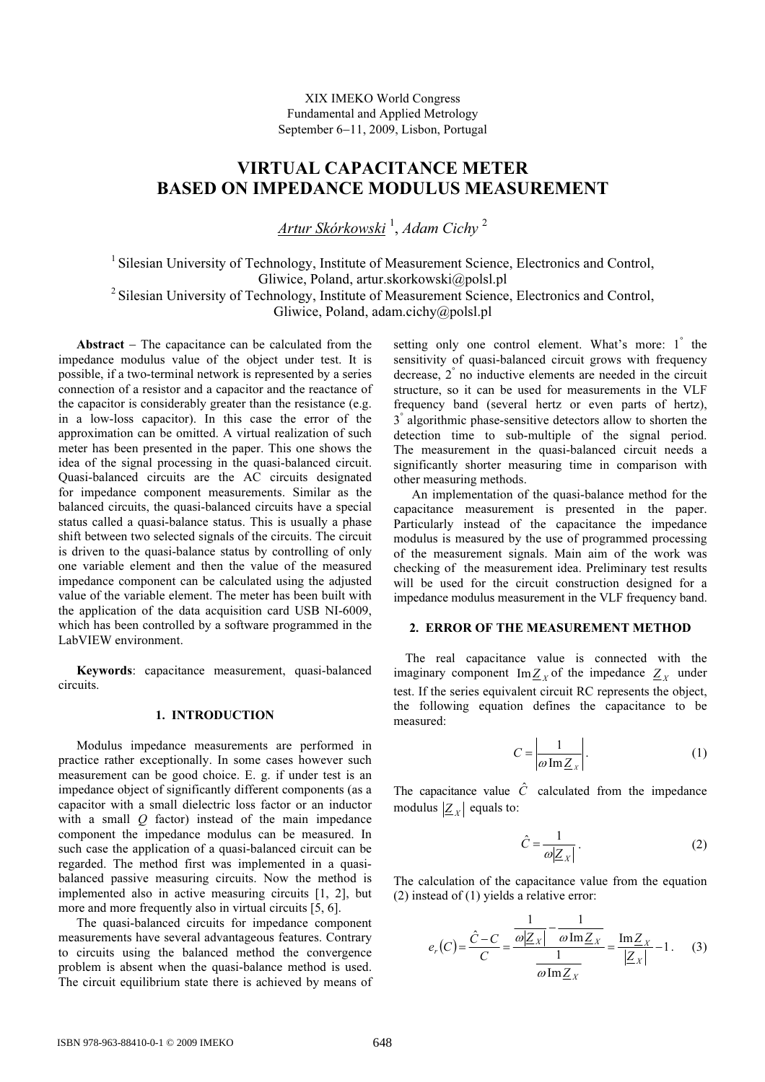XIX IMEKO World Congress Fundamental and Applied Metrology September 6−11, 2009, Lisbon, Portugal

# VIRTUAL CAPACITANCE METER BASED ON IMPEDANCE MODULUS MEASUREMENT

<u>Artur Skórkowski</u> <sup>1</sup>, Adam Cichy <sup>2</sup>

<sup>1</sup> Silesian University of Technology, Institute of Measurement Science, Electronics and Control, Gliwice, Poland, artur.skorkowski@polsl.pl <sup>2</sup> Silesian University of Technology, Institute of Measurement Science, Electronics and Control, Gliwice, Poland, adam.cichy@polsl.pl

Abstract − The capacitance can be calculated from the impedance modulus value of the object under test. It is possible, if a two-terminal network is represented by a series connection of a resistor and a capacitor and the reactance of the capacitor is considerably greater than the resistance (e.g. in a low-loss capacitor). In this case the error of the approximation can be omitted. A virtual realization of such meter has been presented in the paper. This one shows the idea of the signal processing in the quasi-balanced circuit. Quasi-balanced circuits are the AC circuits designated for impedance component measurements. Similar as the balanced circuits, the quasi-balanced circuits have a special status called a quasi-balance status. This is usually a phase shift between two selected signals of the circuits. The circuit is driven to the quasi-balance status by controlling of only one variable element and then the value of the measured impedance component can be calculated using the adjusted value of the variable element. The meter has been built with the application of the data acquisition card USB NI-6009, which has been controlled by a software programmed in the LabVIEW environment.

Keywords: capacitance measurement, quasi-balanced circuits.

## 1. INTRODUCTION

Modulus impedance measurements are performed in practice rather exceptionally. In some cases however such measurement can be good choice. E. g. if under test is an impedance object of significantly different components (as a capacitor with a small dielectric loss factor or an inductor with a small  $Q$  factor) instead of the main impedance component the impedance modulus can be measured. In such case the application of a quasi-balanced circuit can be regarded. The method first was implemented in a quasibalanced passive measuring circuits. Now the method is implemented also in active measuring circuits [1, 2], but more and more frequently also in virtual circuits [5, 6].

The quasi-balanced circuits for impedance component measurements have several advantageous features. Contrary to circuits using the balanced method the convergence problem is absent when the quasi-balance method is used. The circuit equilibrium state there is achieved by means of

setting only one control element. What's more: 1° the sensitivity of quasi-balanced circuit grows with frequency decrease, 2 ° no inductive elements are needed in the circuit structure, so it can be used for measurements in the VLF frequency band (several hertz or even parts of hertz), 3<sup>°</sup> algorithmic phase-sensitive detectors allow to shorten the detection time to sub-multiple of the signal period. The measurement in the quasi-balanced circuit needs a significantly shorter measuring time in comparison with other measuring methods.

An implementation of the quasi-balance method for the capacitance measurement is presented in the paper. Particularly instead of the capacitance the impedance modulus is measured by the use of programmed processing of the measurement signals. Main aim of the work was checking of the measurement idea. Preliminary test results will be used for the circuit construction designed for a impedance modulus measurement in the VLF frequency band.

#### 2. ERROR OF THE MEASUREMENT METHOD

The real capacitance value is connected with the imaginary component Im $Z_X$  of the impedance  $Z_X$  under test. If the series equivalent circuit RC represents the object, the following equation defines the capacitance to be measured:

$$
C = \left| \frac{1}{\omega \operatorname{Im} Z_{x}} \right|.
$$
 (1)

The capacitance value  $\hat{C}$  calculated from the impedance modulus  $|\underline{Z}_x|$  equals to:

$$
\hat{C} = \frac{1}{\omega |Z_X|} \,. \tag{2}
$$

The calculation of the capacitance value from the equation (2) instead of  $(1)$  yields a relative error:

$$
e_r(C) = \frac{\hat{C} - C}{C} = \frac{\frac{1}{\omega |Z_x|} - \frac{1}{\omega \text{Im} Z_x}}{\frac{1}{\omega \text{Im} Z_x}} = \frac{\text{Im} Z_x}{|Z_x|} - 1.
$$
 (3)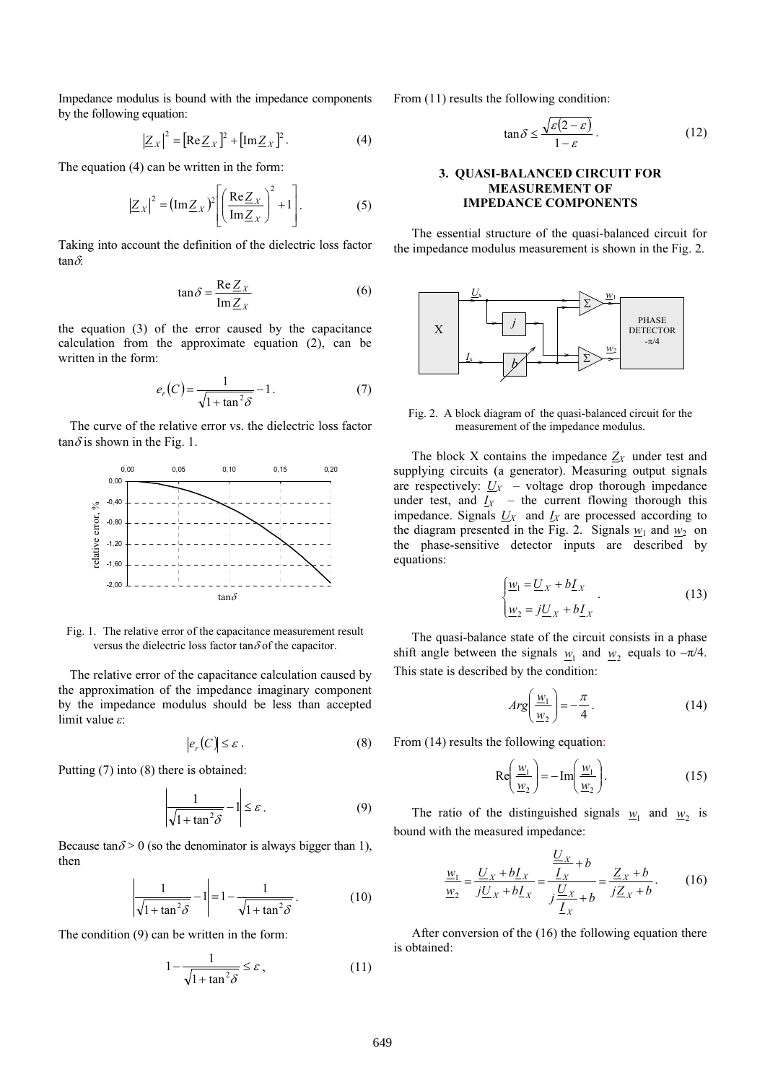Impedance modulus is bound with the impedance components by the following equation:

$$
\left|\underline{Z}_X\right|^2 = \left[\text{Re}\,\underline{Z}_X\right]^2 + \left[\text{Im}\,\underline{Z}_X\right]^2. \tag{4}
$$

The equation (4) can be written in the form:

$$
\left|\underline{Z}_X\right|^2 = \left(\text{Im}\,\underline{Z}_X\right)^2 \left[\left(\frac{\text{Re}\,\underline{Z}_X}{\text{Im}\,\underline{Z}_X}\right)^2 + 1\right].\tag{5}
$$

Taking into account the definition of the dielectric loss factor tan $\delta$ :

$$
\tan \delta = \frac{\text{Re}\,\underline{Z}_X}{\text{Im}\,\underline{Z}_X} \tag{6}
$$

the equation (3) of the error caused by the capacitance calculation from the approximate equation (2), can be written in the form:

$$
e_r(C) = \frac{1}{\sqrt{1 + \tan^2 \delta}} - 1.
$$
 (7)

The curve of the relative error vs. the dielectric loss factor  $tan \delta$  is shown in the Fig. 1.



Fig. 1. The relative error of the capacitance measurement result versus the dielectric loss factor tan $\delta$  of the capacitor.

The relative error of the capacitance calculation caused by the approximation of the impedance imaginary component by the impedance modulus should be less than accepted limit value ε:

$$
|e_r(C)| \le \varepsilon \,. \tag{8}
$$

Putting (7) into (8) there is obtained:

$$
\left|\frac{1}{\sqrt{1 + \tan^2 \delta}} - 1\right| \le \varepsilon \,. \tag{9}
$$

Because tan $\delta$  > 0 (so the denominator is always bigger than 1), then

$$
\left|\frac{1}{\sqrt{1+\tan^2\delta}} - 1\right| = 1 - \frac{1}{\sqrt{1+\tan^2\delta}}.\tag{10}
$$

The condition (9) can be written in the form:

$$
1 - \frac{1}{\sqrt{1 + \tan^2 \delta}} \le \varepsilon \,,\tag{11}
$$

From  $(11)$  results the following condition:

$$
\tan \delta \le \frac{\sqrt{\varepsilon (2 - \varepsilon)}}{1 - \varepsilon}.
$$
 (12)

### 3. QUASI-BALANCED CIRCUIT FOR MEASUREMENT OF IMPEDANCE COMPONENTS

The essential structure of the quasi-balanced circuit for the impedance modulus measurement is shown in the Fig. 2.



Fig. 2. A block diagram of the quasi-balanced circuit for the measurement of the impedance modulus.

The block X contains the impedance  $Z_X$  under test and supplying circuits (a generator). Measuring output signals are respectively:  $U_X$  – voltage drop thorough impedance under test, and  $I_X$  – the current flowing thorough this impedance. Signals  $U_X$  and  $I_X$  are processed according to the diagram presented in the Fig. 2. Signals  $w_1$  and  $w_2$  on the phase-sensitive detector inputs are described by equations:

$$
\begin{cases} \underline{w}_1 = \underline{U}_X + b\underline{I}_X \\ \underline{w}_2 = j\underline{U}_X + b\underline{I}_X \end{cases} . \tag{13}
$$

The quasi-balance state of the circuit consists in a phase shift angle between the signals  $w_1$  and  $w_2$  equals to  $-\pi/4$ . This state is described by the condition:

$$
Arg\left(\frac{\underline{w}_1}{\underline{w}_2}\right) = -\frac{\pi}{4}.
$$
 (14)

From  $(14)$  results the following equation:

$$
\operatorname{Re}\left(\frac{\underline{w}_1}{\underline{w}_2}\right) = -\operatorname{Im}\left(\frac{\underline{w}_1}{\underline{w}_2}\right). \tag{15}
$$

The ratio of the distinguished signals  $w_1$  and  $w_2$  is bound with the measured impedance:

$$
\frac{w_1}{w_2} = \frac{U_x + bI_x}{jU_x + bI_x} = \frac{\frac{U_x}{I_x} + b}{j\frac{U_x}{I_x} + b} = \frac{Z_x + b}{jZ_x + b}.
$$
 (16)

After conversion of the  $(16)$  the following equation there is obtained: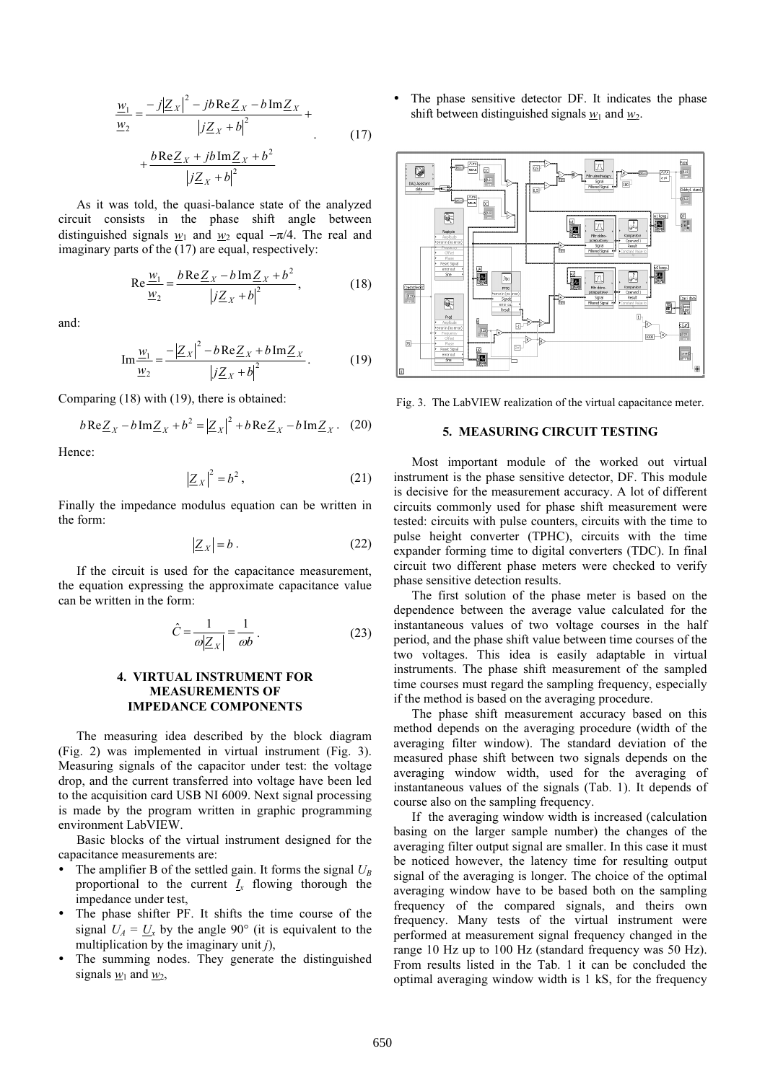$$
\frac{w_1}{w_2} = \frac{-j|Z_x|^2 - jb \text{Re} Z_x - b \text{Im} Z_x}{|jZ_x + b|^2} + \frac{b \text{Re} Z_x + jb \text{Im} Z_x + b^2}{|jZ_x + b|^2}
$$
\n(17)

As it was told, the quasi-balance state of the analyzed circuit consists in the phase shift angle between distinguished signals w<sub>1</sub> and w<sub>2</sub> equal  $-\pi/4$ . The real and imaginary parts of the  $(17)$  are equal, respectively:

$$
\operatorname{Re}\frac{w_1}{w_2} = \frac{b \operatorname{Re}\underline{Z}_X - b \operatorname{Im}\underline{Z}_X + b^2}{\left|j \underline{Z}_X + b\right|^2},\tag{18}
$$

and:

$$
\operatorname{Im}\frac{\underline{w}_1}{\underline{w}_2} = \frac{-|\underline{Z}_X|^2 - b \operatorname{Re}\underline{Z}_X + b \operatorname{Im}\underline{Z}_X}{|j\underline{Z}_X + b|^2}.
$$
 (19)

Comparing  $(18)$  with  $(19)$ , there is obtained:

$$
b \operatorname{Re} Z_{X} - b \operatorname{Im} Z_{X} + b^{2} = |\underline{Z}_{X}|^{2} + b \operatorname{Re} Z_{X} - b \operatorname{Im} Z_{X}. \quad (20)
$$

Hence:

$$
\left|\underline{Z}_X\right|^2 = b^2\,,\tag{21}
$$

Finally the impedance modulus equation can be written in the form:

$$
|\underline{Z}_X| = b. \tag{22}
$$

If the circuit is used for the capacitance measurement, the equation expressing the approximate capacitance value can be written in the form:

$$
\hat{C} = \frac{1}{\omega |Z_x|} = \frac{1}{\omega b} \,. \tag{23}
$$

# 4. VIRTUAL INSTRUMENT FOR MEASUREMENTS OF IMPEDANCE COMPONENTS

The measuring idea described by the block diagram (Fig. 2) was implemented in virtual instrument (Fig. 3). Measuring signals of the capacitor under test: the voltage drop, and the current transferred into voltage have been led to the acquisition card USB NI 6009. Next signal processing is made by the program written in graphic programming environment LabVIEW.

Basic blocks of the virtual instrument designed for the capacitance measurements are:

- The amplifier B of the settled gain. It forms the signal  $U_B$ proportional to the current  $I_x$  flowing thorough the impedance under test,
- The phase shifter PF. It shifts the time course of the signal  $U_A = U_x$  by the angle 90° (it is equivalent to the multiplication by the imaginary unit  $i$ ),
- The summing nodes. They generate the distinguished signals  $w_1$  and  $w_2$ ,

 The phase sensitive detector DF. It indicates the phase shift between distinguished signals  $w_1$  and  $w_2$ .



Fig. 3. The LabVIEW realization of the virtual capacitance meter.

#### 5. MEASURING CIRCUIT TESTING

Most important module of the worked out virtual instrument is the phase sensitive detector, DF. This module is decisive for the measurement accuracy. A lot of different circuits commonly used for phase shift measurement were tested: circuits with pulse counters, circuits with the time to pulse height converter (TPHC), circuits with the time expander forming time to digital converters (TDC). In final circuit two different phase meters were checked to verify phase sensitive detection results.

The first solution of the phase meter is based on the dependence between the average value calculated for the instantaneous values of two voltage courses in the half period, and the phase shift value between time courses of the two voltages. This idea is easily adaptable in virtual instruments. The phase shift measurement of the sampled time courses must regard the sampling frequency, especially if the method is based on the averaging procedure.

The phase shift measurement accuracy based on this method depends on the averaging procedure (width of the averaging filter window). The standard deviation of the measured phase shift between two signals depends on the averaging window width, used for the averaging of instantaneous values of the signals (Tab. 1). It depends of course also on the sampling frequency.

If the averaging window width is increased (calculation basing on the larger sample number) the changes of the averaging filter output signal are smaller. In this case it must be noticed however, the latency time for resulting output signal of the averaging is longer. The choice of the optimal averaging window have to be based both on the sampling frequency of the compared signals, and theirs own frequency. Many tests of the virtual instrument were performed at measurement signal frequency changed in the range 10 Hz up to 100 Hz (standard frequency was 50 Hz). From results listed in the Tab. 1 it can be concluded the optimal averaging window width is 1 kS, for the frequency